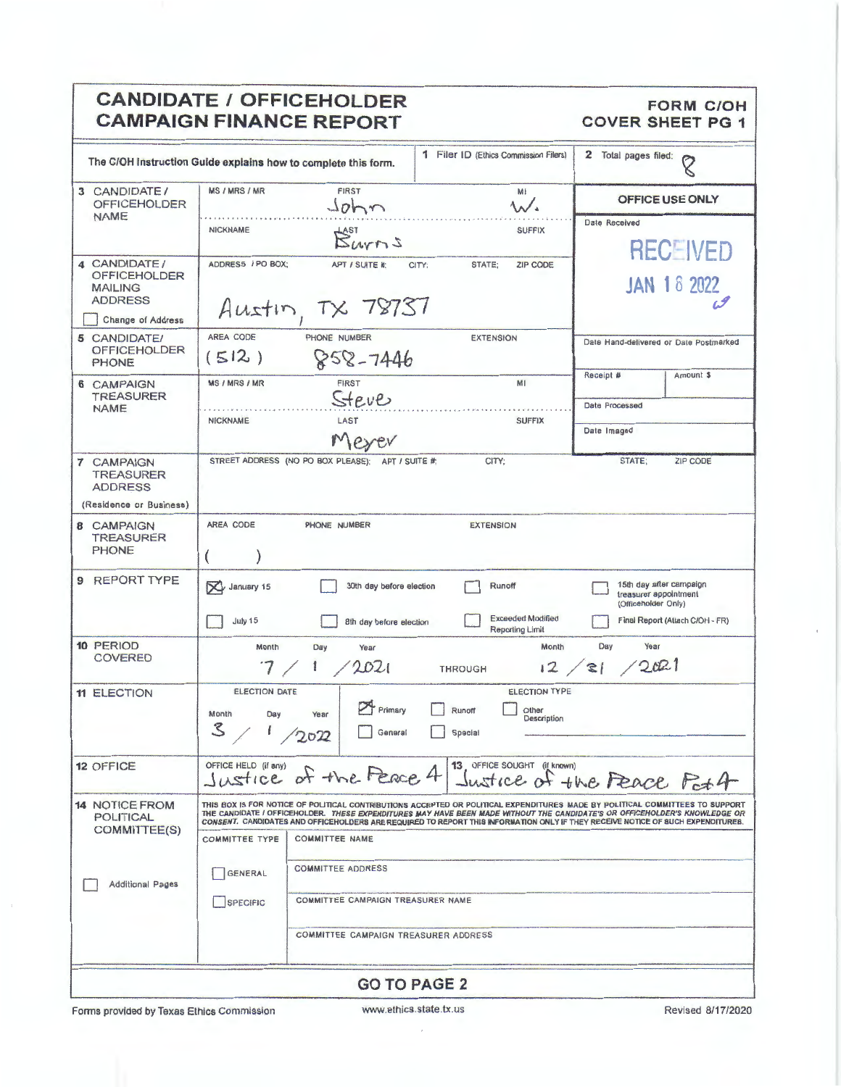|                                                                                                     | <b>CANDIDATE / OFFICEHOLDER</b><br><b>CAMPAIGN FINANCE REPORT</b>                                                                                                                                                                                                                                                                                                                                                                                                                                                                                                                                     | <b>FORM C/OH</b><br><b>COVER SHEET PG 1</b>                                                                |
|-----------------------------------------------------------------------------------------------------|-------------------------------------------------------------------------------------------------------------------------------------------------------------------------------------------------------------------------------------------------------------------------------------------------------------------------------------------------------------------------------------------------------------------------------------------------------------------------------------------------------------------------------------------------------------------------------------------------------|------------------------------------------------------------------------------------------------------------|
|                                                                                                     | 1 Filer ID (Ethics Commission Filers)<br>The C/OH Instruction Guide explains how to complete this form.                                                                                                                                                                                                                                                                                                                                                                                                                                                                                               | 2 Total pages filed:<br>O                                                                                  |
| 3 CANDIDATE/<br><b>OFFICEHOLDER</b>                                                                 | <b>MS / MRS / MR</b><br>FIRST<br>MI<br>John<br>$\mathcal{N}$                                                                                                                                                                                                                                                                                                                                                                                                                                                                                                                                          | <b>OFFICE USE ONLY</b>                                                                                     |
| <b>NAME</b>                                                                                         | <b>NICKNAME</b><br><b>SUFFIX</b><br>Burns                                                                                                                                                                                                                                                                                                                                                                                                                                                                                                                                                             | Date Received<br><b>RECEIVED</b>                                                                           |
| 4 CANDIDATE/<br><b>OFFICEHOLDER</b><br><b>MAILING</b><br><b>ADDRESS</b><br><b>Change of Address</b> | ADDRESS / PO BOX:<br><b>ZIP CODE</b><br>APT / SUITE #:<br>CITY:<br>STATE:<br>Austin, TX 78737                                                                                                                                                                                                                                                                                                                                                                                                                                                                                                         | <b>JAN 18 2022</b>                                                                                         |
| 5 CANDIDATE/<br><b>OFFICEHOLDER</b><br>PHONE                                                        | AREA CODE<br>PHONE NUMBER<br><b>EXTENSION</b><br>(512)<br>$858 - 7446$                                                                                                                                                                                                                                                                                                                                                                                                                                                                                                                                | Date Hand-delivered or Date Postmarked                                                                     |
| 6 CAMPAIGN<br>TREASURER                                                                             | <b>MS / MRS / MR</b><br><b>FIRST</b><br>MI<br>Steve                                                                                                                                                                                                                                                                                                                                                                                                                                                                                                                                                   | Receipt #<br>Amount \$                                                                                     |
| <b>NAME</b>                                                                                         | LAST<br><b>NICKNAME</b><br><b>SUFFIX</b><br>Meyer                                                                                                                                                                                                                                                                                                                                                                                                                                                                                                                                                     | Date Processed<br>Date Imaged                                                                              |
| 7 CAMPAIGN<br><b>TREASURER</b><br><b>ADDRESS</b><br>(Residence or Business)                         | STREET ADDRESS (NO PO BOX PLEASE): APT / SUITE #:<br>CITY;                                                                                                                                                                                                                                                                                                                                                                                                                                                                                                                                            | STATE;<br>ZIP CODE                                                                                         |
| <b>8 CAMPAIGN</b><br><b>TREASURER</b><br><b>PHONE</b>                                               | AREA CODE<br>PHONE NUMBER<br><b>EXTENSION</b><br>€                                                                                                                                                                                                                                                                                                                                                                                                                                                                                                                                                    |                                                                                                            |
| 9 REPORT TYPE                                                                                       | X January 15<br>30th day before election<br>Runoff<br><b>Exceeded Modified</b><br>July 15<br>8th day before election<br>Reporting Limit                                                                                                                                                                                                                                                                                                                                                                                                                                                               | 15th day after campaign<br>treasurer appointment<br>(Officeholder Only)<br>Final Report (Attach C/OH - FR) |
| 10 PERIOD<br><b>COVERED</b>                                                                         | Month<br>Month<br>Day<br>Year<br>2021<br><b>THROUGH</b>                                                                                                                                                                                                                                                                                                                                                                                                                                                                                                                                               | Year<br>Day<br>12 / 21 / 2021                                                                              |
| <b>11 ELECTION</b>                                                                                  | <b>ELECTION DATE</b><br><b>ELECTION TYPE</b><br>Primary<br>Runoff<br>Other<br>Month<br>Day<br>Year<br>Description<br>$\mathcal{Z}$<br>General<br>Special<br>2022                                                                                                                                                                                                                                                                                                                                                                                                                                      |                                                                                                            |
| <b>12 OFFICE</b>                                                                                    | OFFICE HELD (if any)<br>13 OFFICE SOUGHT (if known)<br>Justice of the Peace 4                                                                                                                                                                                                                                                                                                                                                                                                                                                                                                                         | Sustice of the Feace Pat 4                                                                                 |
| <b>14 NOTICE FROM</b><br>POLITICAL<br>COMMITTEE(S)<br><b>Additional Pages</b>                       | THIS BOX IS FOR NOTICE OF POLITICAL CONTRIBUTIONS ACCEPTED OR POLITICAL. EXPENDITURES MADE BY POLITICAL COMMITTEES TO SUPPORT<br>THE CANDIDATE I OFFICEHOLDER. THESE EXPENDITURES MAY HAVE BEEN MADE WITHOUT THE CANDIDATE'S OR OFFICEHOLDER'S KNOWLEDGE OR<br>CONSENT. CANDIDATES AND OFFICEHOLDERS ARE REQUIRED TO REPORT THIS INFORMATION ONLY IF THEY RECEIVE NOTICE OF SUCH EXPENDITURES.<br><b>COMMITTEE NAME</b><br><b>COMMITTEE TYPE</b><br><b>COMMITTEE ADDRESS</b><br><b>GENERAL</b><br>COMMITTEE CAMPAIGN TREASURER NAME<br><b>SPECIFIC</b><br><b>COMMITTEE CAMPAIGN TREASURER ADDRESS</b> |                                                                                                            |
|                                                                                                     | <b>GO TO PAGE 2</b>                                                                                                                                                                                                                                                                                                                                                                                                                                                                                                                                                                                   |                                                                                                            |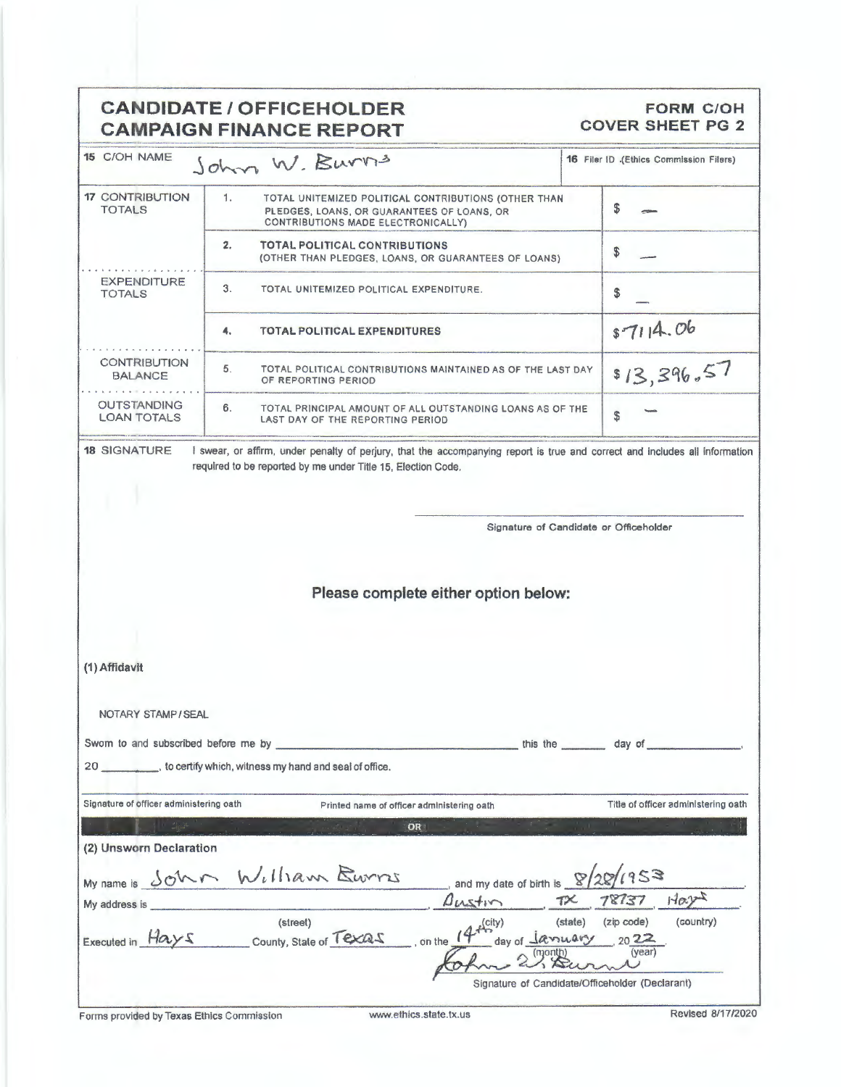|                                                                                        | <b>CANDIDATE / OFFICEHOLDER</b><br><b>CAMPAIGN FINANCE REPORT</b>                                                                              | <b>FORM C/OH</b><br><b>COVER SHEET PG 2</b> |
|----------------------------------------------------------------------------------------|------------------------------------------------------------------------------------------------------------------------------------------------|---------------------------------------------|
| 15 C/OH NAME                                                                           | John W. Burns                                                                                                                                  | 16 Filer ID .(Ethics Commission Filers)     |
| <b>17 CONTRIBUTION</b><br><b>TOTALS</b>                                                | 1.<br>TOTAL UNITEMIZED POLITICAL CONTRIBUTIONS (OTHER THAN<br>PLEDGES, LOANS, OR GUARANTEES OF LOANS, OR<br>CONTRIBUTIONS MADE ELECTRONICALLY) | \$                                          |
|                                                                                        | 2.<br><b>TOTAL POLITICAL CONTRIBUTIONS</b><br>(OTHER THAN PLEDGES, LOANS, OR GUARANTEES OF LOANS)                                              | \$                                          |
| <b>EXPENDITURE</b><br><b>TOTALS</b>                                                    | 3.<br>TOTAL UNITEMIZED POLITICAL EXPENDITURE.                                                                                                  | \$                                          |
|                                                                                        | 4.<br><b>TOTAL POLITICAL EXPENDITURES</b>                                                                                                      | 87114.06                                    |
| <b>CONTRIBUTION</b><br><b>BALANCE</b>                                                  | 5.<br>TOTAL POLITICAL CONTRIBUTIONS MAINTAINED AS OF THE LAST DAY<br>OF REPORTING PERIOD                                                       | \$13,396.57                                 |
| <b>OUTSTANDING</b><br><b>LOAN TOTALS</b>                                               | 6.<br>TOTAL PRINCIPAL AMOUNT OF ALL OUTSTANDING LOANS AS OF THE<br>LAST DAY OF THE REPORTING PERIOD                                            | S                                           |
|                                                                                        |                                                                                                                                                |                                             |
|                                                                                        | Please complete either option below:                                                                                                           |                                             |
|                                                                                        |                                                                                                                                                |                                             |
|                                                                                        |                                                                                                                                                |                                             |
| (1) Affidavit<br>NOTARY STAMP/SEAL                                                     |                                                                                                                                                |                                             |
|                                                                                        |                                                                                                                                                | this the _________ day of __________        |
|                                                                                        | 20 __________, to certify which, witness my hand and seal of office.                                                                           |                                             |
|                                                                                        | Printed name of officer administering oath                                                                                                     | Title of officer administering oath         |
|                                                                                        | OR                                                                                                                                             |                                             |
|                                                                                        |                                                                                                                                                |                                             |
|                                                                                        | My name is John William Burrs<br>and my date of birth is $\sqrt{2Q/133}$<br>Austin                                                             | Hary<br>78737                               |
| Signature of officer administering oath<br>(2) Unsworn Declaration<br>My address is __ | (street)<br>$2f^{(city)}$<br>Executed in Hays county, State of Texas<br>day of January<br>$\frac{1}{2}$ on the $\frac{1}{2}$                   | (state)<br>(zip code)<br>(country)<br>2022  |

Forms provided by Texas Ethics Commission www.ethics.state.tx.us Revised 8/17/2020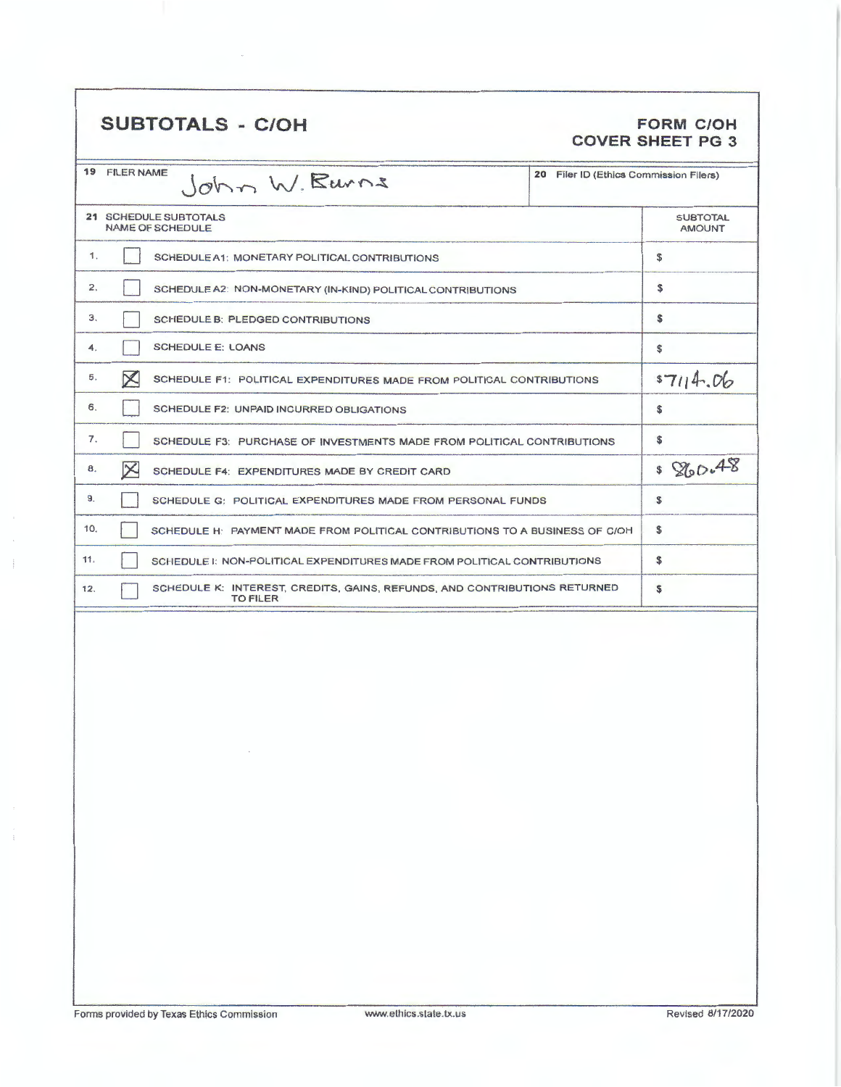## SUBTOTALS - C/OH FORM C/OH

# **COVER SHEET PG 3**

|                  | 19 FILER NAME<br>20 Filer ID (Ethics Commission Filers)<br>John W. Burns                     |                                  |  |  |  |  |
|------------------|----------------------------------------------------------------------------------------------|----------------------------------|--|--|--|--|
|                  | 21 SCHEDULE SUBTOTALS<br><b>NAME OF SCHEDULE</b>                                             | <b>SUBTOTAL</b><br><b>AMOUNT</b> |  |  |  |  |
| 1.               | SCHEDULE A1: MONETARY POLITICAL CONTRIBUTIONS                                                | \$                               |  |  |  |  |
| 2.               | SCHEDULE A2: NON-MONETARY (IN-KIND) POLITICAL CONTRIBUTIONS                                  | \$                               |  |  |  |  |
| 3.               | <b>SCHEDULE B: PLEDGED CONTRIBUTIONS</b>                                                     | s                                |  |  |  |  |
| 4.               | <b>SCHEDULE E: LOANS</b>                                                                     | \$                               |  |  |  |  |
| 5.               | $\times$<br>SCHEDULE F1: POLITICAL EXPENDITURES MADE FROM POLITICAL CONTRIBUTIONS            |                                  |  |  |  |  |
| 6.               | SCHEDULE F2: UNPAID INCURRED OBLIGATIONS                                                     | S                                |  |  |  |  |
| $\overline{7}$ . | SCHEDULE F3: PURCHASE OF INVESTMENTS MADE FROM POLITICAL CONTRIBUTIONS                       |                                  |  |  |  |  |
| 8.               | $\times$<br>SCHEDULE F4: EXPENDITURES MADE BY CREDIT CARD                                    |                                  |  |  |  |  |
| 9.               | SCHEDULE G: POLITICAL EXPENDITURES MADE FROM PERSONAL FUNDS                                  |                                  |  |  |  |  |
| 10.              | SCHEDULE H: PAYMENT MADE FROM POLITICAL CONTRIBUTIONS TO A BUSINESS OF C/OH                  |                                  |  |  |  |  |
| 11.              | SCHEDULE I: NON-POLITICAL EXPENDITURES MADE FROM POLITICAL CONTRIBUTIONS                     | \$                               |  |  |  |  |
| 12.              | SCHEDULE K: INTEREST, CREDITS, GAINS, REFUNDS, AND CONTRIBUTIONS RETURNED<br><b>TO FILER</b> | S                                |  |  |  |  |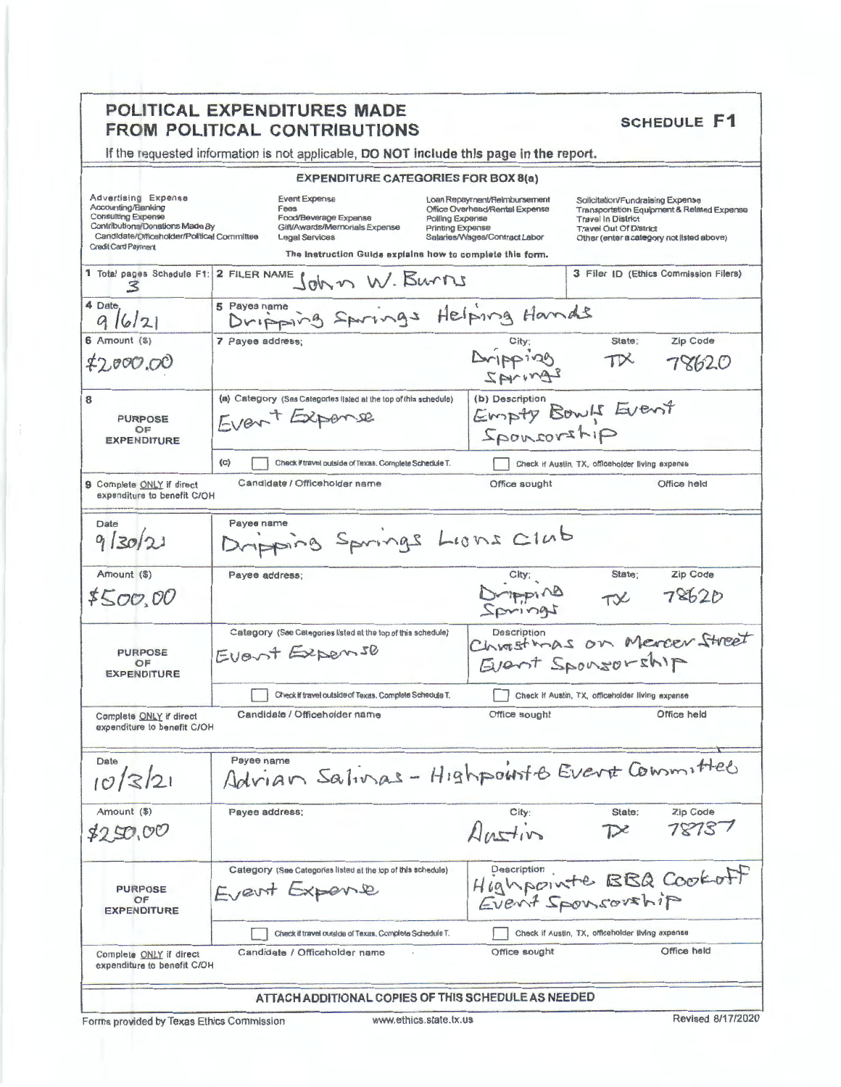|                                                                                                                                                                                | POLITICAL EXPENDITURES MADE<br><b>FROM POLITICAL CONTRIBUTIONS</b>                                                                                                           | <b>SCHEDULE F1</b>                                                                                                                                                                                                                                                                                                                  |
|--------------------------------------------------------------------------------------------------------------------------------------------------------------------------------|------------------------------------------------------------------------------------------------------------------------------------------------------------------------------|-------------------------------------------------------------------------------------------------------------------------------------------------------------------------------------------------------------------------------------------------------------------------------------------------------------------------------------|
|                                                                                                                                                                                | If the requested information is not applicable, DO NOT include this page in the report.                                                                                      |                                                                                                                                                                                                                                                                                                                                     |
|                                                                                                                                                                                | <b>EXPENDITURE CATEGORIES FOR BOX 8(a)</b>                                                                                                                                   |                                                                                                                                                                                                                                                                                                                                     |
| Advertising Expense<br>Accounting/Banking<br><b>Consulting Expense</b><br>Contributions/Donations Made By<br>Candidate/Officeholder/Political Committee<br>Credit Card Payment | <b>Event Expense</b><br>Fees<br>Food/Beverage Expense<br>Gift/Awards/Memorials Expense<br><b>Legal Services</b><br>The instruction Guide explains how to complete this form. | Loan Repayment/Reimbursement<br>Solicitation/Fundraising Expense<br>Office Overhead/Rental Expense<br>Transportation Equipment & Related Expense<br>Polling Expense<br><b>Travel In District</b><br>Printing Expense<br><b>Travel Out Of District</b><br>Salaries/Wages/Contract Labor<br>Other (enter a category not listed above) |
|                                                                                                                                                                                | 1 Total pages Schedule F1: 2 FILER NAME ( OV M) W. BUMIS                                                                                                                     | 3 Filer ID (Ethics Commission Filers)                                                                                                                                                                                                                                                                                               |
| 4 Date<br>9/6/21                                                                                                                                                               | 5 Payee name<br>Dripping Springs Helping Hands                                                                                                                               |                                                                                                                                                                                                                                                                                                                                     |
| $6$ Amount $(3)$<br>\$2,000.00                                                                                                                                                 | 7 Payee address;                                                                                                                                                             | State:<br>Zip Code<br>Aripping<br>$T\mathsf{X}$<br>78620<br>SAVINAS                                                                                                                                                                                                                                                                 |
| 8<br><b>PURPOSE</b><br>OF<br><b>EXPENDITURE</b>                                                                                                                                | (a) Category (See Categories listed at the top of this schedule)<br>Front Expense                                                                                            | (b) Description<br>Empty Bowls Event<br>gitzvornog2                                                                                                                                                                                                                                                                                 |
|                                                                                                                                                                                | (c)<br>Check if travel outside of Texas. Complete Schedule T.                                                                                                                | Check if Austin, TX, officeholder living expense                                                                                                                                                                                                                                                                                    |
| <b>9 Complete ONLY if direct</b><br>expenditure to benefit C/OH                                                                                                                | Candidate / Officeholder name                                                                                                                                                | Office held<br>Office sought                                                                                                                                                                                                                                                                                                        |
| Date<br>9/30/21                                                                                                                                                                | Payee name<br>Dripping Springs Lions Club                                                                                                                                    |                                                                                                                                                                                                                                                                                                                                     |
| Amount (\$)<br>\$500.00                                                                                                                                                        | Payee address;                                                                                                                                                               | State:<br>Zip Code<br>Original<br>78620<br>TVC                                                                                                                                                                                                                                                                                      |
| <b>PURPOSE</b><br>OF<br><b>EXPENDITURE</b>                                                                                                                                     | Category (See Categories listed at the top of this schedule)<br>Event Expense                                                                                                | <b>Description</b><br>Christmas on Mercer Street<br>Event Sponsorship                                                                                                                                                                                                                                                               |
|                                                                                                                                                                                | Check if travel outside of Texas. Complete Schedule T.                                                                                                                       | Check if Austin, TX, officeholder living expense                                                                                                                                                                                                                                                                                    |
| Complete ONLY if direct<br>expenditure to benefit C/OH                                                                                                                         | Candidate / Officeholder name                                                                                                                                                | Office held<br>Office sought                                                                                                                                                                                                                                                                                                        |
| Date<br>10/3/21                                                                                                                                                                | Payee name                                                                                                                                                                   | Advian Salivas - Highpourts Evert Committee                                                                                                                                                                                                                                                                                         |
| Amount (\$)<br>\$250,00                                                                                                                                                        | Payee address;                                                                                                                                                               | Zip Code<br>State;<br>City;<br>78737<br>Austin<br>$\n  D$                                                                                                                                                                                                                                                                           |
| <b>PURPOSE</b><br>OF<br><b>EXPENDITURE</b>                                                                                                                                     | Category (See Categories listed at the top of this schedule)<br>Event Expense                                                                                                | Highpointe BBQ Cookoff<br>Event Sponsorship                                                                                                                                                                                                                                                                                         |
|                                                                                                                                                                                | Check if travel outside of Texas, Complete Schedule T.                                                                                                                       | Check if Austin, TX, officeholder living expense                                                                                                                                                                                                                                                                                    |
| Complete ONLY if direct<br>expenditure to benefit C/OH                                                                                                                         | Candidate / Officeholder name                                                                                                                                                | Office held<br>Office sought                                                                                                                                                                                                                                                                                                        |
|                                                                                                                                                                                | ATTACH ADDITIONAL COPIES OF THIS SCHEDULE AS NEEDED                                                                                                                          |                                                                                                                                                                                                                                                                                                                                     |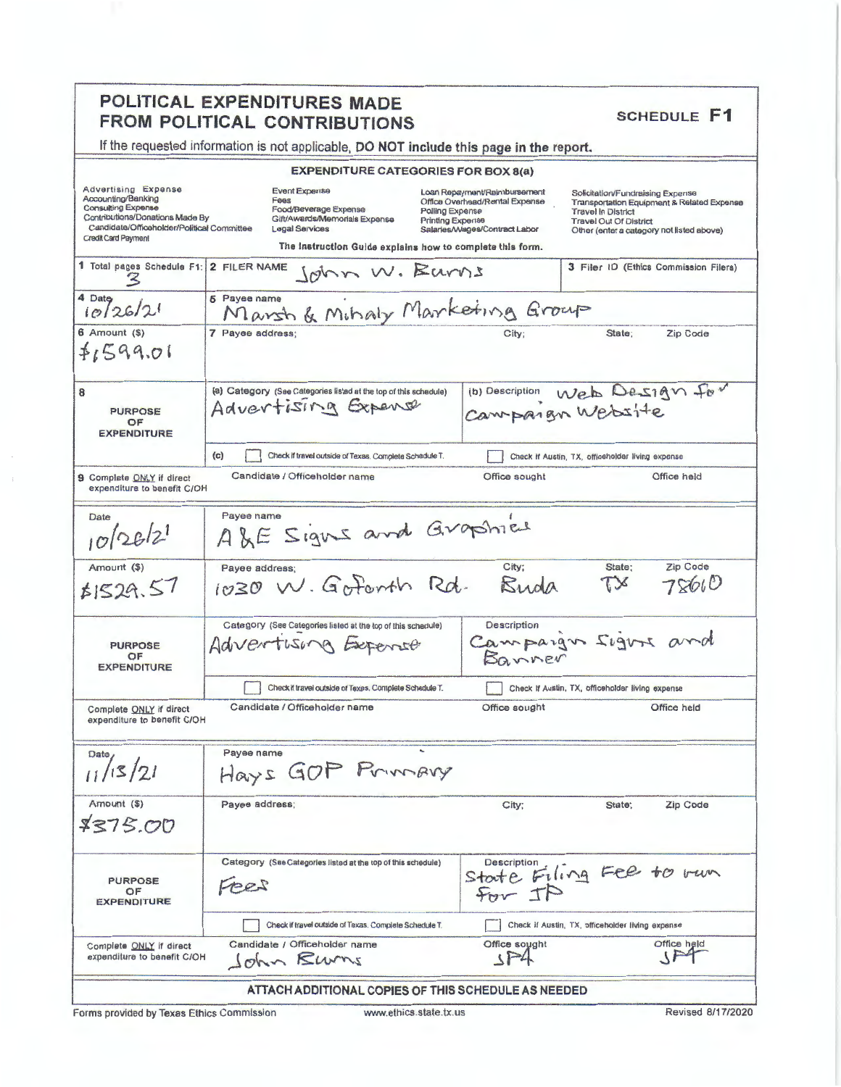## POLITICAL EXPENDITURES MADE FROM POLITICAL CONTRIBUTIONS

**SCHEDULE F1** 

Solicitation/Fundraising Expense

Travel Out Of District

Transportation Equipment & Related Expense<br>Travel In District

Other (enter a category not listed above)

3 Filer ID (Ethics Commission Filers)

Office held

|  | If the requested information is not applicable, DO NOT include this page in the report. |
|--|-----------------------------------------------------------------------------------------|
|--|-----------------------------------------------------------------------------------------|

#### **EXPENDITURE CATEGORIES FOR BOX 8(a)**

Loan Repayment/Reimbursement<br>Office Overhead/Rental Expense

Printing Expense<br>Salaries/Wages/Contract Labor

Office sought

Polling Expense

Advertising Expense Event Expense Accounting/Banking<br>Consulting Expense Feen Experies<br>Fees<br>Gift/Awards/Memorials Expense Contributions/Donations Made By Candidate/Officeholder/Political Committee Legal Services Credit Card Payment The Instruction Guide explains how to complete this form. 1 Total pages Schedule F1: 2 FILER NAME John W. Barns  $\mathbb{Z}$ Payee name<br>Marsh & Mihaly Marketing Group 4 Date 5 Payee name  $10/26/21$ 

| 3 Amount (\$)<br>4,699.01                  | 7 Payee address:                                                                        | City; | State:<br>Zip Code                               |  |
|--------------------------------------------|-----------------------------------------------------------------------------------------|-------|--------------------------------------------------|--|
| <b>PURPOSE</b><br>OF<br><b>EXPENDITURE</b> | (a) Category (See Categories listed at the top of this schedule)<br>Advertising Expense |       | (b) Description Web Design for                   |  |
|                                            | (c)<br>Check if travel outside of Texas, Complete Schedule T.                           |       | Check If Austin, TX, officeholder living expense |  |

Candidate / Officeholder name Q Complete ONLY if direct

| expenditure to benefit C/OH                            |                                                              |                                                  |              |                   |
|--------------------------------------------------------|--------------------------------------------------------------|--------------------------------------------------|--------------|-------------------|
| Date<br>$10^{26/21}$                                   | Payee name<br>ALE Signs and Graphies                         |                                                  |              |                   |
| Amount (\$)                                            | Payee address;<br>1030 W. Gotonth Rd.                        | City;<br>Buda                                    | State:<br>TX | Zip Code<br>78600 |
| 1529.57                                                |                                                              |                                                  |              |                   |
|                                                        | Category (See Categories listed at the top of this schedule) |                                                  |              |                   |
| <b>PURPOSE</b><br>OF<br><b>EXPENDITURE</b>             | Advertising Expense                                          | Campaign signs and                               |              |                   |
|                                                        | Check if travel outside of Texas, Complete Schedule T.       | Check If Austin, TX, officeholder living expense |              |                   |
| Complete ONLY if direct<br>expenditure to benefit C/OH | Candidate / Officeholder name                                | Office sought                                    |              | Office held       |
| Date                                                   | Payee name                                                   |                                                  |              |                   |
| 11/15/21                                               | Hays GOP Primary                                             |                                                  |              |                   |
| Amount (\$)                                            | Payee address:                                               | City                                             | Stote:       | <b>Zin Code</b>   |

| Amount (\$)<br>\$375.00                                | Payee address;                                                       | City;                                            | State: | Zip Code    |  |
|--------------------------------------------------------|----------------------------------------------------------------------|--------------------------------------------------|--------|-------------|--|
| <b>PURPOSE</b><br>OF<br><b>EXPENDITURE</b>             | Category (See Categories listed at the top of this schedule)<br>Fees | State Filing Fee to run                          |        |             |  |
|                                                        | Check if travel outside of Texas, Complete Schedule T.               | Check if Austin, TX, officeholder living expense |        |             |  |
| Complete ONLY if direct<br>expenditure to benefit C/OH | Candidate / Officeholder name<br>John Rums                           | Office sought                                    |        | Office held |  |
|                                                        |                                                                      |                                                  |        |             |  |

### ATTACH ADDITIONAL COPIES OF THIS SCHEDULE AS NEEDED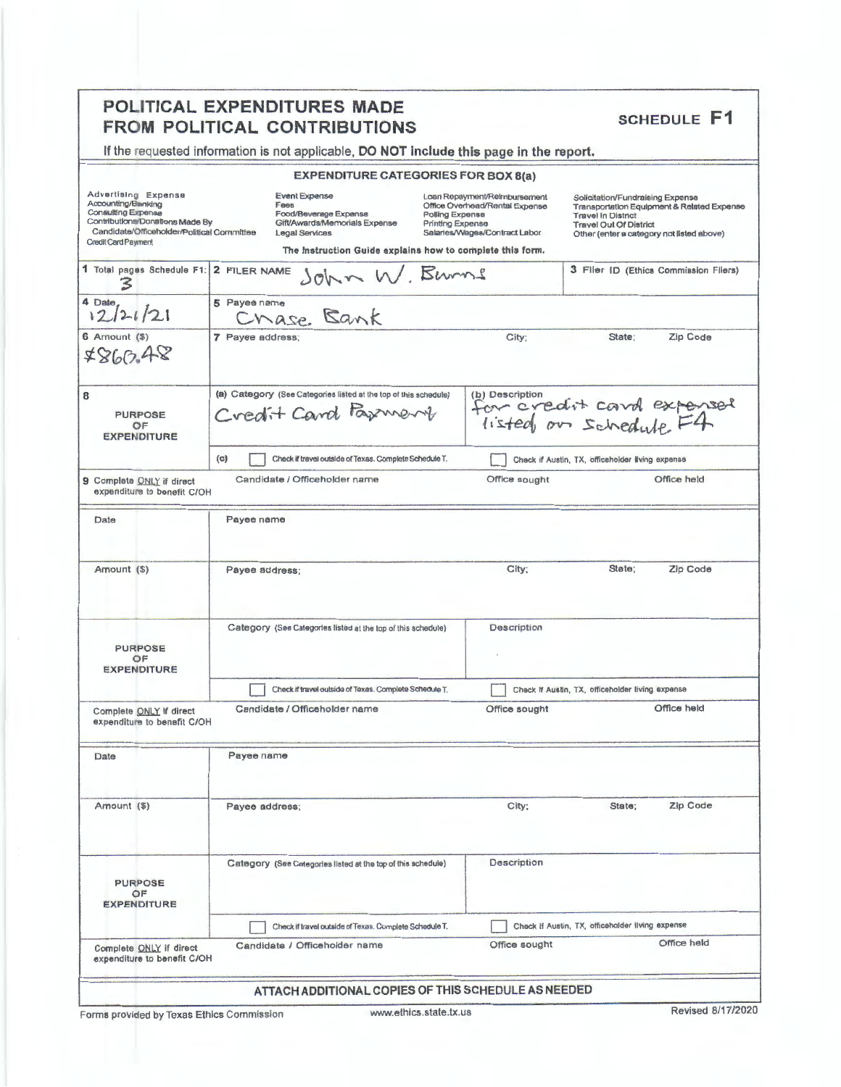|                                                                                                                                                                          | POLITICAL EXPENDITURES MADE<br><b>FROM POLITICAL CONTRIBUTIONS</b>                                                                                                    |                                                                                                                                        | <b>SCHEDULE F1</b>                                                                                                                                                                        |
|--------------------------------------------------------------------------------------------------------------------------------------------------------------------------|-----------------------------------------------------------------------------------------------------------------------------------------------------------------------|----------------------------------------------------------------------------------------------------------------------------------------|-------------------------------------------------------------------------------------------------------------------------------------------------------------------------------------------|
|                                                                                                                                                                          | If the requested information is not applicable, DO NOT include this page in the report.                                                                               |                                                                                                                                        |                                                                                                                                                                                           |
|                                                                                                                                                                          | <b>EXPENDITURE CATEGORIES FOR BOX 8(a)</b>                                                                                                                            |                                                                                                                                        |                                                                                                                                                                                           |
| Advertising Expense<br>Accounting/Blanking<br>Consulting Expense<br>Contributions/Donations Made By<br>Candidate/Officeholder/Political Committee<br>Credit Card Payment | <b>Event Expense</b><br>Fees<br>Food/Beverage Expense<br>Gift/Awards/Memorials Expense<br>Legal Services<br>The instruction Guide explains how to complete this form. | Loan Repayment/Reimbursement<br>Office Overhead/Rental Expense<br>Polling Expense<br>Printing Expense<br>Salaries/Wages/Contract Labor | Solicitation/Fundraising Expense<br>Transportation Equipment & Related Expense<br><b>Travel In District</b><br><b>Travel Out Of District</b><br>Other (enter a category not listed above) |
| 1 Total pages Schedule F1:<br>3                                                                                                                                          | 2 FILER NAME<br>John W. Burns                                                                                                                                         |                                                                                                                                        | 3 Filer ID (Ethics Commission Filers)                                                                                                                                                     |
| 4 Date<br>12/21/21                                                                                                                                                       | 5 Payee name<br>Chase Bank                                                                                                                                            |                                                                                                                                        |                                                                                                                                                                                           |
| $6$ Amount $($ )<br>7860.48                                                                                                                                              | 7 Payee address;                                                                                                                                                      | City;                                                                                                                                  | Zip Code<br>State:                                                                                                                                                                        |
| 8<br><b>PURPOSE</b><br>OF<br><b>EXPENDITURE</b>                                                                                                                          | (a) Category (See Categories listed at the top of this schedule)<br>Credit Card Parment                                                                               |                                                                                                                                        | (b) Description<br>for creatit cand expensed<br>listed on schedule F4                                                                                                                     |
|                                                                                                                                                                          | (c)<br>Check if travel outside of Texas. Complete Schedule T.                                                                                                         |                                                                                                                                        | Check if Austin, TX, officeholder living expense                                                                                                                                          |
| 9 Complete ONLY if direct<br>expenditure to benefit C/OH                                                                                                                 | Candidate / Officeholder name                                                                                                                                         | Office sought                                                                                                                          | Office held                                                                                                                                                                               |
| Date                                                                                                                                                                     | Payee name                                                                                                                                                            |                                                                                                                                        |                                                                                                                                                                                           |
| Amount (\$)                                                                                                                                                              | Payee address;                                                                                                                                                        | City;                                                                                                                                  | State;<br>Zip Code                                                                                                                                                                        |
| <b>PURPOSE</b><br>OF<br><b>EXPENDITURE</b>                                                                                                                               | Category (See Categories listed at the top of this schedule)                                                                                                          | Description                                                                                                                            |                                                                                                                                                                                           |
|                                                                                                                                                                          | Check if travel outside of Texas. Complete Schedule T.                                                                                                                |                                                                                                                                        | Check If Austin, TX, officeholder living expense                                                                                                                                          |
| Complete ONLY if direct<br>expenditure to benefit C/OH                                                                                                                   | Candidate / Officeholder name                                                                                                                                         | Office sought                                                                                                                          | Office held                                                                                                                                                                               |
| Date                                                                                                                                                                     | Payee name                                                                                                                                                            |                                                                                                                                        |                                                                                                                                                                                           |
| Amount (\$)                                                                                                                                                              | Payee address;                                                                                                                                                        | City;                                                                                                                                  | Zip Code<br>State;                                                                                                                                                                        |
| <b>PURPOSE</b><br>OF<br><b>EXPENDITURE</b>                                                                                                                               | Category (See Categories listed at the top of this schedule)                                                                                                          | Description                                                                                                                            |                                                                                                                                                                                           |
|                                                                                                                                                                          | Check if travel outside of Texas. Complete Schedule T.                                                                                                                |                                                                                                                                        | Check if Austin, TX, officeholder living expense                                                                                                                                          |
| Complete ONLY if direct<br>expenditure to benefit C/OH                                                                                                                   | Candidate / Officeholder name                                                                                                                                         | Office sought                                                                                                                          | Office held                                                                                                                                                                               |
|                                                                                                                                                                          | ATTACH ADDITIONAL COPIES OF THIS SCHEDULE AS NEEDED                                                                                                                   |                                                                                                                                        |                                                                                                                                                                                           |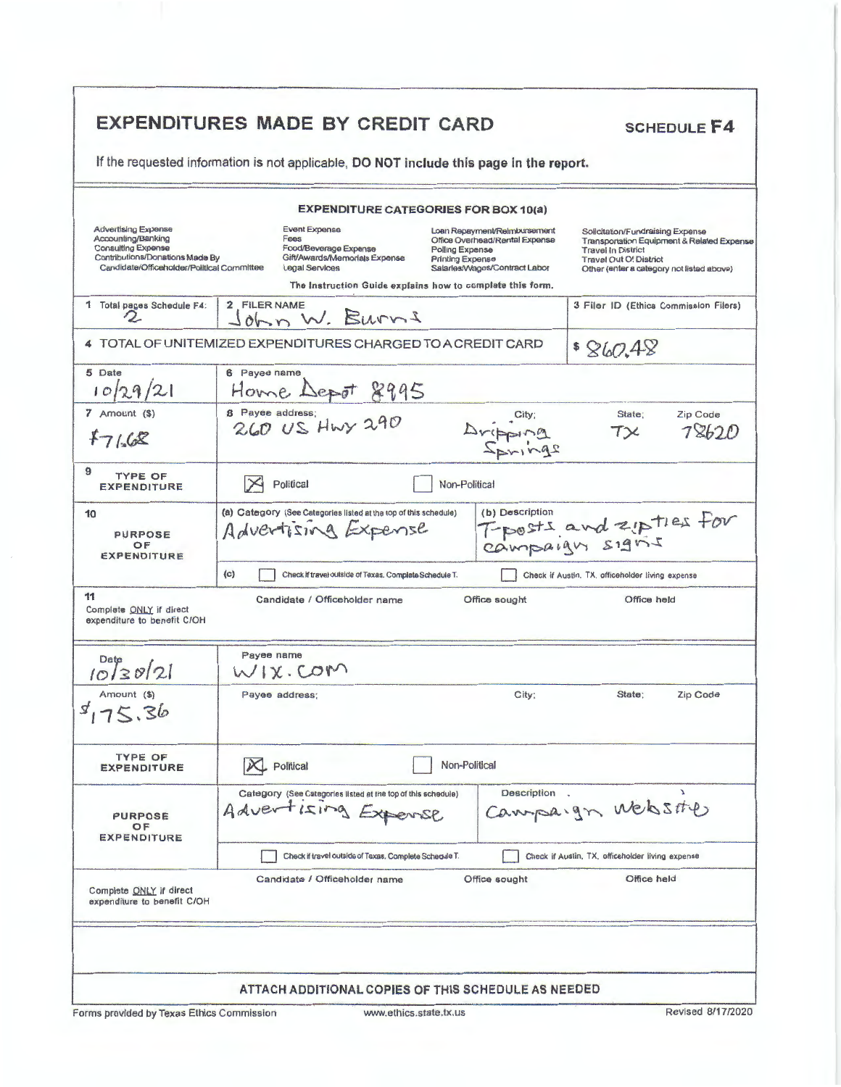| If the requested information is not applicable, DO NOT include this page in the report.                                                                 |                  |                                                                                                                                                                       |                                            |                                                                                                 |                                                                                                                                             |                                            |
|---------------------------------------------------------------------------------------------------------------------------------------------------------|------------------|-----------------------------------------------------------------------------------------------------------------------------------------------------------------------|--------------------------------------------|-------------------------------------------------------------------------------------------------|---------------------------------------------------------------------------------------------------------------------------------------------|--------------------------------------------|
|                                                                                                                                                         |                  | <b>EXPENDITURE CATEGORIES FOR BOX 10(a)</b>                                                                                                                           |                                            |                                                                                                 |                                                                                                                                             |                                            |
| <b>Advertising Expense</b><br>Accounting/Banking<br>Consulting Expense<br>Contributions/Donations Made By<br>Candidate/Officeholder/Political Committee |                  | <b>Event Expense</b><br>Fees<br>Food/Beverage Expense<br>Gift/Awards/Memorials Expense<br>Legal Services<br>The Instruction Guide explains how to complete this form. | <b>Polling Expense</b><br>Printing Expense | Loan Repayment/Reimbursement<br>Office Overhead/Rental Expense<br>Salarles/Wages/Contract Labor | Solicitation/Fundraising Expense<br><b>Travel In District</b><br><b>Travel Out Of District</b><br>Other (enter a category not listed above) | Transportation Equipment & Related Expense |
| 1 Total pages Schedule F4:<br>Ω.                                                                                                                        | 2 FILER NAME     | John W. Burns                                                                                                                                                         |                                            |                                                                                                 | 3 Filer ID (Ethics Commission Filers)                                                                                                       |                                            |
| 4 TOTAL OF UNITEMIZED EXPENDITURES CHARGED TO A CREDIT CARD                                                                                             |                  |                                                                                                                                                                       |                                            |                                                                                                 | \$860.48                                                                                                                                    |                                            |
| 5 Date<br>10 29/21                                                                                                                                      | 6 Payee name     | Home Depot 8995                                                                                                                                                       |                                            |                                                                                                 |                                                                                                                                             |                                            |
| 7 Amount (\$)<br>47168                                                                                                                                  | 8 Payee address; | 260 US Hwy 290                                                                                                                                                        |                                            | Bridgina<br>2 Pring2                                                                            | State;<br>$T\times$                                                                                                                         | Zip Code<br>78620                          |
| 9<br><b>TYPE OF</b><br><b>EXPENDITURE</b>                                                                                                               |                  | Political                                                                                                                                                             | Non-Political                              |                                                                                                 |                                                                                                                                             |                                            |
| 10<br><b>PURPOSE</b><br>OF<br><b>EXPENDITURE</b>                                                                                                        |                  | (a) Category (See Categories listed at the top of this schedule)<br>Advertising Expense                                                                               |                                            | (b) Description                                                                                 | T-posts and zipties for                                                                                                                     |                                            |
| 11<br>Complete ONLY if direct<br>expenditure to benefit C/OH                                                                                            | (c)              | Check if travel outside of Texas. Complete Schedule T.<br>Candidate / Officeholder name                                                                               |                                            | Office sought                                                                                   | Check if Austin, TX, officeholder living expense<br>Office held                                                                             |                                            |
| $Date$<br>$10 30 21$                                                                                                                                    | Payee name       | WIX.COM                                                                                                                                                               |                                            |                                                                                                 |                                                                                                                                             |                                            |
| Amount (\$)<br>3,75.36                                                                                                                                  | Payee address;   |                                                                                                                                                                       |                                            | City;                                                                                           | State;                                                                                                                                      | Zip Code                                   |
| <b>TYPE OF</b><br><b>EXPENDITURE</b>                                                                                                                    | $X$ Political    |                                                                                                                                                                       | Non-Political                              |                                                                                                 |                                                                                                                                             |                                            |
| <b>PURPOSE</b><br>OF<br><b>EXPENDITURE</b>                                                                                                              | Advertising      | Category (See Categories listed at the top of this schedule)                                                                                                          |                                            | Description.                                                                                    | Campaign website                                                                                                                            |                                            |
| Complete ONLY if direct                                                                                                                                 |                  | Check if travel outside of Texas. Complete Schedule T.<br>Candidate / Officeholder name                                                                               |                                            | Office sought                                                                                   | Check if Austin, TX, officeholder living expense<br>Office held                                                                             |                                            |
| expenditure to benefit C/OH                                                                                                                             |                  |                                                                                                                                                                       |                                            |                                                                                                 |                                                                                                                                             |                                            |